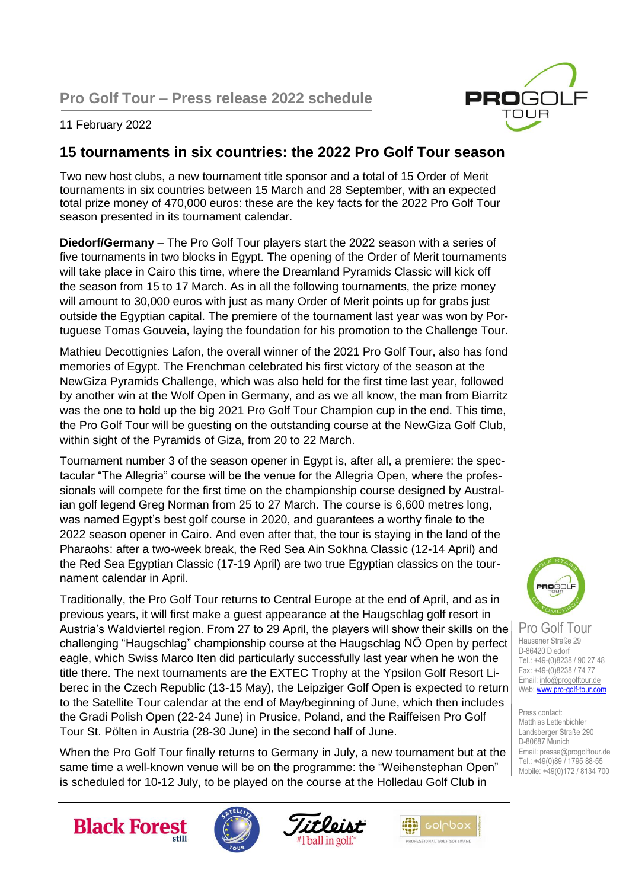

### 11 February 2022

## **15 tournaments in six countries: the 2022 Pro Golf Tour season**

Two new host clubs, a new tournament title sponsor and a total of 15 Order of Merit tournaments in six countries between 15 March and 28 September, with an expected total prize money of 470,000 euros: these are the key facts for the 2022 Pro Golf Tour season presented in its tournament calendar.

**Diedorf/Germany** – The Pro Golf Tour players start the 2022 season with a series of five tournaments in two blocks in Egypt. The opening of the Order of Merit tournaments will take place in Cairo this time, where the Dreamland Pyramids Classic will kick off the season from 15 to 17 March. As in all the following tournaments, the prize money will amount to 30,000 euros with just as many Order of Merit points up for grabs just outside the Egyptian capital. The premiere of the tournament last year was won by Portuguese Tomas Gouveia, laying the foundation for his promotion to the Challenge Tour.

Mathieu Decottignies Lafon, the overall winner of the 2021 Pro Golf Tour, also has fond memories of Egypt. The Frenchman celebrated his first victory of the season at the NewGiza Pyramids Challenge, which was also held for the first time last year, followed by another win at the Wolf Open in Germany, and as we all know, the man from Biarritz was the one to hold up the big 2021 Pro Golf Tour Champion cup in the end. This time, the Pro Golf Tour will be guesting on the outstanding course at the NewGiza Golf Club, within sight of the Pyramids of Giza, from 20 to 22 March.

Tournament number 3 of the season opener in Egypt is, after all, a premiere: the spectacular "The Allegria" course will be the venue for the Allegria Open, where the professionals will compete for the first time on the championship course designed by Australian golf legend Greg Norman from 25 to 27 March. The course is 6,600 metres long, was named Egypt's best golf course in 2020, and guarantees a worthy finale to the 2022 season opener in Cairo. And even after that, the tour is staying in the land of the Pharaohs: after a two-week break, the Red Sea Ain Sokhna Classic (12-14 April) and the Red Sea Egyptian Classic (17-19 April) are two true Egyptian classics on the tournament calendar in April.

Traditionally, the Pro Golf Tour returns to Central Europe at the end of April, and as in previous years, it will first make a guest appearance at the Haugschlag golf resort in Austria's Waldviertel region. From 27 to 29 April, the players will show their skills on the challenging "Haugschlag" championship course at the Haugschlag NÖ Open by perfect eagle, which Swiss Marco Iten did particularly successfully last year when he won the title there. The next tournaments are the EXTEC Trophy at the Ypsilon Golf Resort Liberec in the Czech Republic (13-15 May), the Leipziger Golf Open is expected to return to the Satellite Tour calendar at the end of May/beginning of June, which then includes the Gradi Polish Open (22-24 June) in Prusice, Poland, and the Raiffeisen Pro Golf Tour St. Pölten in Austria (28-30 June) in the second half of June.

When the Pro Golf Tour finally returns to Germany in July, a new tournament but at the same time a well-known venue will be on the programme: the "Weihenstephan Open" is scheduled for 10-12 July, to be played on the course at the Holledau Golf Club in



Pro Golf Tour Hausener Straße 29 D-86420 Diedorf Tel.: +49-(0)8238 / 90 27 48 Fax: +49-(0)8238 / 74 77 Email[: info@progolftour.de](mailto:info@progolftour.de) Web[: www.pro-golf-tour.com](http://www.pro-golf-tour.com/)

Press contact: Matthias Lettenbichler Landsberger Straße 290 D-80687 Munich Email: presse@progolftour.de Tel.: +49(0)89 / 1795 88-55 Mobile: +49(0)172 / 8134 700